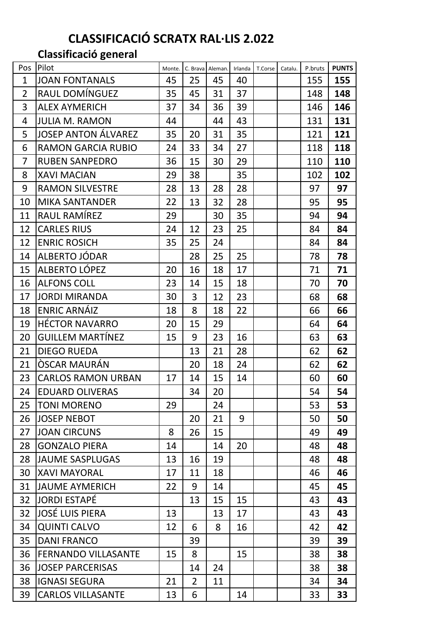# **CLASSIFICACIÓ SCRATX RAL·LIS 2.022**

# **Classificació general**

| Pos            | Pilot                      | Monte. |                | C. Brava Aleman. | Irlanda | T.Corse | Catalu. | P.bruts | <b>PUNTS</b> |
|----------------|----------------------------|--------|----------------|------------------|---------|---------|---------|---------|--------------|
| $\mathbf{1}$   | <b>JOAN FONTANALS</b>      | 45     | 25             | 45               | 40      |         |         | 155     | 155          |
| $\overline{2}$ | RAUL DOMÍNGUEZ             | 35     | 45             | 31               | 37      |         |         | 148     | 148          |
| 3              | <b>ALEX AYMERICH</b>       | 37     | 34             | 36               | 39      |         |         | 146     | 146          |
| 4              | <b>JULIA M. RAMON</b>      | 44     |                | 44               | 43      |         |         | 131     | 131          |
| 5              | <b>JOSEP ANTON ÁLVAREZ</b> | 35     | 20             | 31               | 35      |         |         | 121     | 121          |
| 6              | <b>RAMON GARCIA RUBIO</b>  | 24     | 33             | 34               | 27      |         |         | 118     | 118          |
| 7              | <b>RUBEN SANPEDRO</b>      | 36     | 15             | 30               | 29      |         |         | 110     | 110          |
| 8              | <b>XAVI MACIAN</b>         | 29     | 38             |                  | 35      |         |         | 102     | 102          |
| 9              | <b>RAMON SILVESTRE</b>     | 28     | 13             | 28               | 28      |         |         | 97      | 97           |
| 10             | <b>MIKA SANTANDER</b>      | 22     | 13             | 32               | 28      |         |         | 95      | 95           |
| 11             | RAUL RAMÍREZ               | 29     |                | 30               | 35      |         |         | 94      | 94           |
| 12             | <b>CARLES RIUS</b>         | 24     | 12             | 23               | 25      |         |         | 84      | 84           |
| 12             | <b>ENRIC ROSICH</b>        | 35     | 25             | 24               |         |         |         | 84      | 84           |
| 14             | ALBERTO JÓDAR              |        | 28             | 25               | 25      |         |         | 78      | 78           |
| 15             | <b>ALBERTO LÓPEZ</b>       | 20     | 16             | 18               | 17      |         |         | 71      | 71           |
| 16             | <b>ALFONS COLL</b>         | 23     | 14             | 15               | 18      |         |         | 70      | 70           |
| 17             | <b>JORDI MIRANDA</b>       | 30     | 3              | 12               | 23      |         |         | 68      | 68           |
| 18             | <b>ENRIC ARNÁIZ</b>        | 18     | 8              | 18               | 22      |         |         | 66      | 66           |
| 19             | <b>HÉCTOR NAVARRO</b>      | 20     | 15             | 29               |         |         |         | 64      | 64           |
| 20             | <b>GUILLEM MARTÍNEZ</b>    | 15     | 9              | 23               | 16      |         |         | 63      | 63           |
| 21             | <b>DIEGO RUEDA</b>         |        | 13             | 21               | 28      |         |         | 62      | 62           |
| 21             | ÒSCAR MAURÁN               |        | 20             | 18               | 24      |         |         | 62      | 62           |
| 23             | <b>CARLOS RAMON URBAN</b>  | 17     | 14             | 15               | 14      |         |         | 60      | 60           |
| 24             | <b>EDUARD OLIVERAS</b>     |        | 34             | 20               |         |         |         | 54      | 54           |
| 25             | <b>TONI MORENO</b>         | 29     |                | 24               |         |         |         | 53      | 53           |
| 26             | <b>JOSEP NEBOT</b>         |        | 20             | 21               | 9       |         |         | 50      | 50           |
| 27             | <b>JOAN CIRCUNS</b>        | 8      | 26             | 15               |         |         |         | 49      | 49           |
| 28             | <b>GONZALO PIERA</b>       | 14     |                | 14               | 20      |         |         | 48      | 48           |
| 28             | <b>JAUME SASPLUGAS</b>     | 13     | 16             | 19               |         |         |         | 48      | 48           |
| 30             | <b>XAVI MAYORAL</b>        | 17     | 11             | 18               |         |         |         | 46      | 46           |
| 31             | <b>JAUME AYMERICH</b>      | 22     | 9              | 14               |         |         |         | 45      | 45           |
| 32             | <b>JORDI ESTAPÉ</b>        |        | 13             | 15               | 15      |         |         | 43      | 43           |
| 32             | <b>JOSÉ LUIS PIERA</b>     | 13     |                | 13               | 17      |         |         | 43      | 43           |
| 34             | <b>QUINTI CALVO</b>        | 12     | 6              | 8                | 16      |         |         | 42      | 42           |
| 35             | <b>DANI FRANCO</b>         |        | 39             |                  |         |         |         | 39      | 39           |
| 36             | <b>FERNANDO VILLASANTE</b> | 15     | 8              |                  | 15      |         |         | 38      | 38           |
| 36             | <b>JOSEP PARCERISAS</b>    |        | 14             | 24               |         |         |         | 38      | 38           |
| 38             | <b>IGNASI SEGURA</b>       | 21     | $\overline{2}$ | 11               |         |         |         | 34      | 34           |
| 39             | <b>CARLOS VILLASANTE</b>   | 13     | 6              |                  | 14      |         |         | 33      | 33           |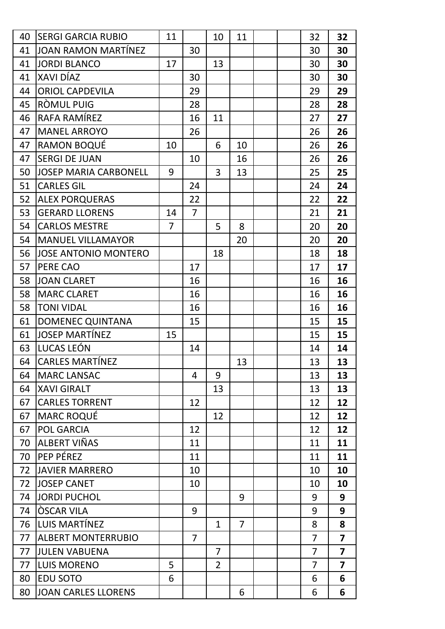| 40 | <b>SERGI GARCIA RUBIO</b>    | 11             |                | 10             | 11             |  | 32             | 32                      |
|----|------------------------------|----------------|----------------|----------------|----------------|--|----------------|-------------------------|
| 41 | <b>JOAN RAMON MARTÍNEZ</b>   |                | 30             |                |                |  | 30             | 30                      |
| 41 | <b>JORDI BLANCO</b>          | 17             |                | 13             |                |  | 30             | 30                      |
| 41 | XAVI DÍAZ                    |                | 30             |                |                |  | 30             | 30                      |
| 44 | <b>ORIOL CAPDEVILA</b>       |                | 29             |                |                |  | 29             | 29                      |
| 45 | RÒMUL PUIG                   |                | 28             |                |                |  | 28             | 28                      |
| 46 | RAFA RAMÍREZ                 |                | 16             | 11             |                |  | 27             | 27                      |
| 47 | <b>MANEL ARROYO</b>          |                | 26             |                |                |  | 26             | 26                      |
| 47 | <b>RAMON BOQUÉ</b>           | 10             |                | 6              | 10             |  | 26             | 26                      |
| 47 | <b>SERGI DE JUAN</b>         |                | 10             |                | 16             |  | 26             | 26                      |
| 50 | <b>JOSEP MARIA CARBONELL</b> | 9              |                | 3              | 13             |  | 25             | 25                      |
| 51 | <b>CARLES GIL</b>            |                | 24             |                |                |  | 24             | 24                      |
| 52 | <b>ALEX PORQUERAS</b>        |                | 22             |                |                |  | 22             | 22                      |
| 53 | <b>GERARD LLORENS</b>        | 14             | $\overline{7}$ |                |                |  | 21             | 21                      |
| 54 | <b>CARLOS MESTRE</b>         | $\overline{7}$ |                | 5              | 8              |  | 20             | 20                      |
| 54 | <b>MANUEL VILLAMAYOR</b>     |                |                |                | 20             |  | 20             | 20                      |
| 56 | <b>JOSE ANTONIO MONTERO</b>  |                |                | 18             |                |  | 18             | 18                      |
| 57 | PERE CAO                     |                | 17             |                |                |  | 17             | 17                      |
| 58 | <b>JOAN CLARET</b>           |                | 16             |                |                |  | 16             | 16                      |
| 58 | <b>MARC CLARET</b>           |                | 16             |                |                |  | 16             | 16                      |
| 58 | <b>TONI VIDAL</b>            |                | 16             |                |                |  | 16             | 16                      |
| 61 | <b>DOMENEC QUINTANA</b>      |                | 15             |                |                |  | 15             | 15                      |
| 61 | <b>JOSEP MARTÍNEZ</b>        | 15             |                |                |                |  | 15             | 15                      |
| 63 | LUCAS LEÓN                   |                | 14             |                |                |  | 14             | 14                      |
| 64 | <b>CARLES MARTÍNEZ</b>       |                |                |                | 13             |  | 13             | 13                      |
| 64 | <b>MARC LANSAC</b>           |                | 4              | 9              |                |  | 13             | 13                      |
| 64 | <b>XAVI GIRALT</b>           |                |                | 13             |                |  | 13             | 13                      |
| 67 | <b>CARLES TORRENT</b>        |                | 12             |                |                |  | 12             | 12                      |
| 67 | <b>MARC ROQUÉ</b>            |                |                | 12             |                |  | 12             | 12                      |
| 67 | <b>POL GARCIA</b>            |                | 12             |                |                |  | 12             | 12                      |
| 70 | ALBERT VIÑAS                 |                | 11             |                |                |  | 11             | 11                      |
| 70 | PEP PÉREZ                    |                | 11             |                |                |  | 11             | 11                      |
| 72 | <b>JAVIER MARRERO</b>        |                | 10             |                |                |  | 10             | 10                      |
| 72 | <b>JOSEP CANET</b>           |                | 10             |                |                |  | 10             | 10                      |
| 74 | <b>JORDI PUCHOL</b>          |                |                |                | 9              |  | 9              | 9                       |
| 74 | <b>OSCAR VILA</b>            |                | 9              |                |                |  | 9              | 9                       |
| 76 | LUIS MARTÍNEZ                |                |                | $\mathbf{1}$   | $\overline{7}$ |  | 8              | 8                       |
| 77 | <b>ALBERT MONTERRUBIO</b>    |                | $\overline{7}$ |                |                |  | $\overline{7}$ | $\overline{7}$          |
| 77 | <b>JULEN VABUENA</b>         |                |                | $\overline{7}$ |                |  | $\overline{7}$ | $\overline{\mathbf{z}}$ |
| 77 | <b>LUIS MORENO</b>           | 5              |                | $\overline{2}$ |                |  | $\overline{7}$ | $\overline{7}$          |
| 80 | <b>EDU SOTO</b>              | 6              |                |                |                |  | 6              | 6                       |
| 80 | <b>JOAN CARLES LLORENS</b>   |                |                |                | 6              |  | 6              | 6                       |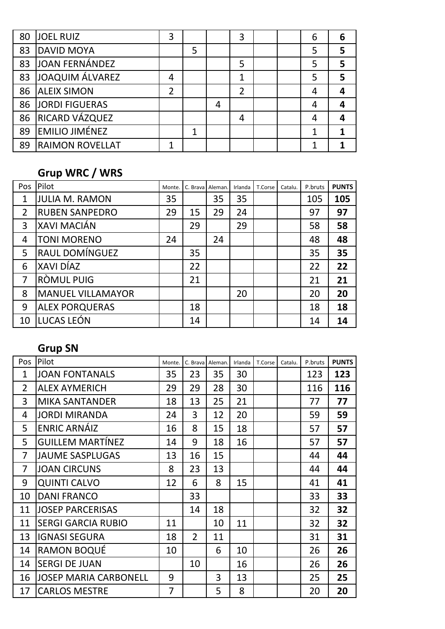| 80 | <b>JOEL RUIZ</b>       | 3              |   |   | 3 |  | 6 | 6 |
|----|------------------------|----------------|---|---|---|--|---|---|
| 83 | <b>DAVID MOYA</b>      |                | 5 |   |   |  | 5 | 5 |
| 83 | JOAN FERNÁNDEZ         |                |   |   | 5 |  | 5 | 5 |
| 83 | JOAQUIM ÁLVAREZ        | 4              |   |   | 1 |  | 5 | 5 |
| 86 | <b>ALEIX SIMON</b>     | $\overline{2}$ |   |   | 2 |  | 4 |   |
| 86 | <b>JORDI FIGUERAS</b>  |                |   | 4 |   |  | 4 |   |
| 86 | <b>RICARD VÁZQUEZ</b>  |                |   |   | 4 |  | 4 |   |
| 89 | <b>EMILIO JIMÉNEZ</b>  |                |   |   |   |  |   |   |
| 89 | <b>RAIMON ROVELLAT</b> | 1              |   |   |   |  | 1 |   |

# **Grup WRC / WRS**

| Pos | Pilot                    | Monte. |    | C. Brava Aleman. | Irlanda | T.Corse | Catalu. | P.bruts | <b>PUNTS</b> |
|-----|--------------------------|--------|----|------------------|---------|---------|---------|---------|--------------|
| 1   | JULIA M. RAMON           | 35     |    | 35               | 35      |         |         | 105     | 105          |
| 2   | <b>RUBEN SANPEDRO</b>    | 29     | 15 | 29               | 24      |         |         | 97      | 97           |
| 3   | <b>XAVI MACIÁN</b>       |        | 29 |                  | 29      |         |         | 58      | 58           |
| 4   | <b>TONI MORENO</b>       | 24     |    | 24               |         |         |         | 48      | 48           |
| 5   | RAUL DOMÍNGUEZ           |        | 35 |                  |         |         |         | 35      | 35           |
| 6   | XAVI DÍAZ                |        | 22 |                  |         |         |         | 22      | 22           |
| 7   | RÒMUL PUIG               |        | 21 |                  |         |         |         | 21      | 21           |
| 8   | <b>MANUEL VILLAMAYOR</b> |        |    |                  | 20      |         |         | 20      | 20           |
| 9   | <b>ALEX PORQUERAS</b>    |        | 18 |                  |         |         |         | 18      | 18           |
| 10  | LUCAS LEÓN               |        | 14 |                  |         |         |         | 14      | 14           |

# **Grup SN**

| Pos            | Pilot                        | Monte. | C. Brava       | Aleman. | Irlanda | T.Corse | Catalu. | P.bruts | <b>PUNTS</b> |
|----------------|------------------------------|--------|----------------|---------|---------|---------|---------|---------|--------------|
| $\mathbf{1}$   | <b>JOAN FONTANALS</b>        | 35     | 23             | 35      | 30      |         |         | 123     | 123          |
| $\overline{2}$ | <b>ALEX AYMERICH</b>         | 29     | 29             | 28      | 30      |         |         | 116     | 116          |
| 3              | <b>MIKA SANTANDER</b>        | 18     | 13             | 25      | 21      |         |         | 77      | 77           |
| $\overline{4}$ | <b>JORDI MIRANDA</b>         | 24     | 3              | 12      | 20      |         |         | 59      | 59           |
| 5              | <b>ENRIC ARNÁIZ</b>          | 16     | 8              | 15      | 18      |         |         | 57      | 57           |
| 5              | <b>GUILLEM MARTÍNEZ</b>      | 14     | 9              | 18      | 16      |         |         | 57      | 57           |
| 7              | <b>JAUME SASPLUGAS</b>       | 13     | 16             | 15      |         |         |         | 44      | 44           |
| 7              | <b>JOAN CIRCUNS</b>          | 8      | 23             | 13      |         |         |         | 44      | 44           |
| 9              | <b>QUINTI CALVO</b>          | 12     | 6              | 8       | 15      |         |         | 41      | 41           |
| 10             | <b>DANI FRANCO</b>           |        | 33             |         |         |         |         | 33      | 33           |
| 11             | <b>JOSEP PARCERISAS</b>      |        | 14             | 18      |         |         |         | 32      | 32           |
| 11             | <b>SERGI GARCIA RUBIO</b>    | 11     |                | 10      | 11      |         |         | 32      | 32           |
| 13             | <b>IGNASI SEGURA</b>         | 18     | $\overline{2}$ | 11      |         |         |         | 31      | 31           |
| 14             | <b>RAMON BOQUÉ</b>           | 10     |                | 6       | 10      |         |         | 26      | 26           |
| 14             | <b>SERGI DE JUAN</b>         |        | 10             |         | 16      |         |         | 26      | 26           |
| 16             | <b>JOSEP MARIA CARBONELL</b> | 9      |                | 3       | 13      |         |         | 25      | 25           |
| 17             | <b>CARLOS MESTRE</b>         | 7      |                | 5       | 8       |         |         | 20      | 20           |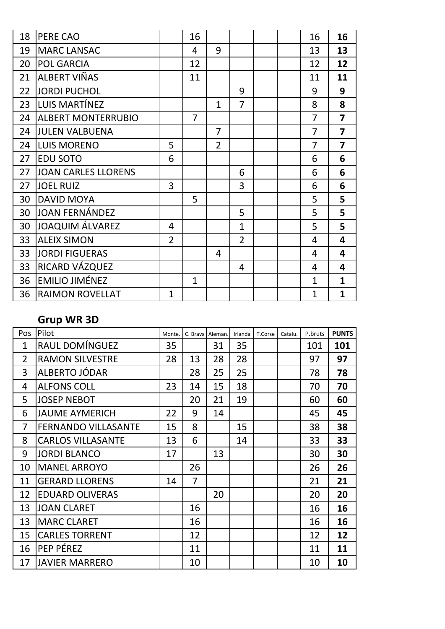| 18 | PERE CAO                   |                | 16             |                |                |  | 16             | 16                      |
|----|----------------------------|----------------|----------------|----------------|----------------|--|----------------|-------------------------|
| 19 | <b>MARC LANSAC</b>         |                | $\overline{4}$ | 9              |                |  | 13             | 13                      |
| 20 | <b>POL GARCIA</b>          |                | 12             |                |                |  | 12             | 12                      |
| 21 | ALBERT VIÑAS               |                | 11             |                |                |  | 11             | 11                      |
| 22 | <b>JORDI PUCHOL</b>        |                |                |                | 9              |  | 9              | 9                       |
| 23 | LUIS MARTÍNEZ              |                |                | $\mathbf{1}$   | $\overline{7}$ |  | 8              | 8                       |
| 24 | <b>ALBERT MONTERRUBIO</b>  |                | $\overline{7}$ |                |                |  | $\overline{7}$ | $\overline{7}$          |
| 24 | <b>JULEN VALBUENA</b>      |                |                | $\overline{7}$ |                |  | $\overline{7}$ | $\overline{7}$          |
| 24 | <b>LUIS MORENO</b>         | 5              |                | $\overline{2}$ |                |  | $\overline{7}$ | $\overline{\mathbf{z}}$ |
| 27 | <b>EDU SOTO</b>            | 6              |                |                |                |  | 6              | 6                       |
| 27 | <b>JOAN CARLES LLORENS</b> |                |                |                | 6              |  | 6              | 6                       |
| 27 | <b>JOEL RUIZ</b>           | 3              |                |                | 3              |  | 6              | 6                       |
| 30 | <b>DAVID MOYA</b>          |                | 5              |                |                |  | 5              | 5                       |
| 30 | <b>JOAN FERNÁNDEZ</b>      |                |                |                | 5              |  | 5              | 5                       |
| 30 | <b>JOAQUIM ÁLVAREZ</b>     | 4              |                |                | $\mathbf{1}$   |  | 5              | 5                       |
| 33 | <b>ALEIX SIMON</b>         | $\overline{2}$ |                |                | $\overline{2}$ |  | $\overline{4}$ | 4                       |
| 33 | <b>JORDI FIGUERAS</b>      |                |                | 4              |                |  | $\overline{4}$ | 4                       |
| 33 | RICARD VÁZQUEZ             |                |                |                | 4              |  | 4              | 4                       |
| 36 | <b>EMILIO JIMÉNEZ</b>      |                | $\mathbf{1}$   |                |                |  | $\mathbf{1}$   | $\mathbf{1}$            |
| 36 | <b>RAIMON ROVELLAT</b>     | $\mathbf{1}$   |                |                |                |  | $\overline{1}$ | $\overline{\mathbf{1}}$ |

### **Grup WR 3D**

| Pos            | Pilot                      | Monte. |    | C. Brava Aleman. | Irlanda | T.Corse | Catalu. | P.bruts | <b>PUNTS</b> |
|----------------|----------------------------|--------|----|------------------|---------|---------|---------|---------|--------------|
| $\mathbf{1}$   | RAUL DOMÍNGUEZ             | 35     |    | 31               | 35      |         |         | 101     | 101          |
| $\overline{2}$ | <b>RAMON SILVESTRE</b>     | 28     | 13 | 28               | 28      |         |         | 97      | 97           |
| 3              | ALBERTO JÓDAR              |        | 28 | 25               | 25      |         |         | 78      | 78           |
| 4              | <b>ALFONS COLL</b>         | 23     | 14 | 15               | 18      |         |         | 70      | 70           |
| 5              | <b>JOSEP NEBOT</b>         |        | 20 | 21               | 19      |         |         | 60      | 60           |
| 6              | <b>JAUME AYMERICH</b>      | 22     | 9  | 14               |         |         |         | 45      | 45           |
| 7              | <b>FERNANDO VILLASANTE</b> | 15     | 8  |                  | 15      |         |         | 38      | 38           |
| 8              | <b>CARLOS VILLASANTE</b>   | 13     | 6  |                  | 14      |         |         | 33      | 33           |
| 9              | <b>JORDI BLANCO</b>        | 17     |    | 13               |         |         |         | 30      | 30           |
| 10             | <b>MANEL ARROYO</b>        |        | 26 |                  |         |         |         | 26      | 26           |
| 11             | <b>GERARD LLORENS</b>      | 14     | 7  |                  |         |         |         | 21      | 21           |
| 12             | <b>EDUARD OLIVERAS</b>     |        |    | 20               |         |         |         | 20      | 20           |
| 13             | <b>JOAN CLARET</b>         |        | 16 |                  |         |         |         | 16      | 16           |
| 13             | <b>MARC CLARET</b>         |        | 16 |                  |         |         |         | 16      | 16           |
| 15             | <b>CARLES TORRENT</b>      |        | 12 |                  |         |         |         | 12      | 12           |
| 16             | PEP PÉREZ                  |        | 11 |                  |         |         |         | 11      | 11           |
| 17             | <b>JAVIER MARRERO</b>      |        | 10 |                  |         |         |         | 10      | 10           |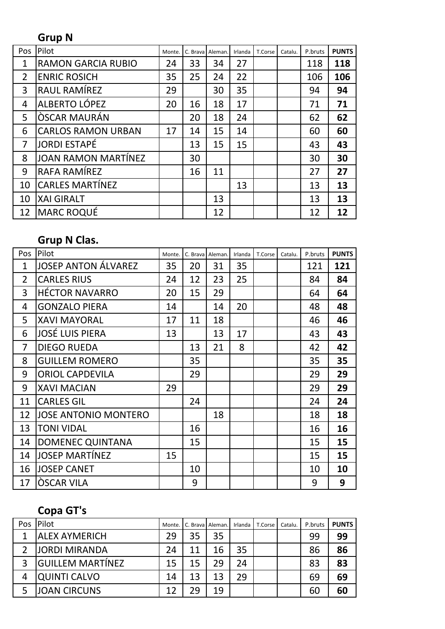# **Grup N**

| Pos | Pilot                      | Monte. | C. Braval | Aleman. | Irlanda | T.Corse | Catalu. | P.bruts | <b>PUNTS</b> |
|-----|----------------------------|--------|-----------|---------|---------|---------|---------|---------|--------------|
| 1   | <b>RAMON GARCIA RUBIO</b>  | 24     | 33        | 34      | 27      |         |         | 118     | 118          |
| 2   | <b>ENRIC ROSICH</b>        | 35     | 25        | 24      | 22      |         |         | 106     | 106          |
| 3   | RAUL RAMÍREZ               | 29     |           | 30      | 35      |         |         | 94      | 94           |
| 4   | ALBERTO LÓPEZ              | 20     | 16        | 18      | 17      |         |         | 71      | 71           |
| 5   | <b>ÒSCAR MAURÁN</b>        |        | 20        | 18      | 24      |         |         | 62      | 62           |
| 6   | <b>CARLOS RAMON URBAN</b>  | 17     | 14        | 15      | 14      |         |         | 60      | 60           |
| 7   | <b>JORDI ESTAPÉ</b>        |        | 13        | 15      | 15      |         |         | 43      | 43           |
| 8   | <b>JOAN RAMON MARTÍNEZ</b> |        | 30        |         |         |         |         | 30      | 30           |
| 9   | RAFA RAMÍREZ               |        | 16        | 11      |         |         |         | 27      | 27           |
| 10  | <b>CARLES MARTÍNEZ</b>     |        |           |         | 13      |         |         | 13      | 13           |
| 10  | <b>XAI GIRALT</b>          |        |           | 13      |         |         |         | 13      | 13           |
| 12  | <b>MARC ROQUÉ</b>          |        |           | 12      |         |         |         | 12      | 12           |

### **Grup N Clas.**

| Pos            | Pilot                       | Monte. | C. Brava | Aleman. | Irlanda | T.Corse | Catalu. | P.bruts | <b>PUNTS</b> |
|----------------|-----------------------------|--------|----------|---------|---------|---------|---------|---------|--------------|
| $\mathbf{1}$   | <b>JOSEP ANTON ÁLVAREZ</b>  | 35     | 20       | 31      | 35      |         |         | 121     | 121          |
| $\overline{2}$ | <b>CARLES RIUS</b>          | 24     | 12       | 23      | 25      |         |         | 84      | 84           |
| 3              | <b>HÉCTOR NAVARRO</b>       | 20     | 15       | 29      |         |         |         | 64      | 64           |
| 4              | <b>GONZALO PIERA</b>        | 14     |          | 14      | 20      |         |         | 48      | 48           |
| 5              | <b>XAVI MAYORAL</b>         | 17     | 11       | 18      |         |         |         | 46      | 46           |
| 6              | <b>JOSÉ LUIS PIERA</b>      | 13     |          | 13      | 17      |         |         | 43      | 43           |
| 7              | <b>DIEGO RUEDA</b>          |        | 13       | 21      | 8       |         |         | 42      | 42           |
| 8              | <b>GUILLEM ROMERO</b>       |        | 35       |         |         |         |         | 35      | 35           |
| 9              | <b>ORIOL CAPDEVILA</b>      |        | 29       |         |         |         |         | 29      | 29           |
| 9              | <b>XAVI MACIAN</b>          | 29     |          |         |         |         |         | 29      | 29           |
| 11             | <b>CARLES GIL</b>           |        | 24       |         |         |         |         | 24      | 24           |
| 12             | <b>JOSE ANTONIO MONTERO</b> |        |          | 18      |         |         |         | 18      | 18           |
| 13             | <b>TONI VIDAL</b>           |        | 16       |         |         |         |         | 16      | 16           |
| 14             | <b>DOMENEC QUINTANA</b>     |        | 15       |         |         |         |         | 15      | 15           |
| 14             | <b>JOSEP MARTÍNEZ</b>       | 15     |          |         |         |         |         | 15      | 15           |
| 16             | <b>JOSEP CANET</b>          |        | 10       |         |         |         |         | 10      | 10           |
| 17             | <b>OSCAR VILA</b>           |        | 9        |         |         |         |         | 9       | 9            |

# **Copa GT's**

| Pos | <b>Pilot</b>              | Monte. | C. Brava Aleman. |    | Irlanda | T.Corse | Catalu. | P.bruts | <b>PUNTS</b> |
|-----|---------------------------|--------|------------------|----|---------|---------|---------|---------|--------------|
|     | <b>ALEX AYMERICH</b>      | 29     | 35               | 35 |         |         |         | 99      | 99           |
|     | <b>JORDI MIRANDA</b>      | 24     | 11               | 16 | 35      |         |         | 86      | 86           |
|     | <b>l</b> GUILLEM MARTÍNEZ | 15     | 15               | 29 | 24      |         |         | 83      | 83           |
| 4   | <b>QUINTI CALVO</b>       | 14     | 13               | 13 | 29      |         |         | 69      | 69           |
|     | <b>JOAN CIRCUNS</b>       | 12     | 29               | 19 |         |         |         | 60      | 60           |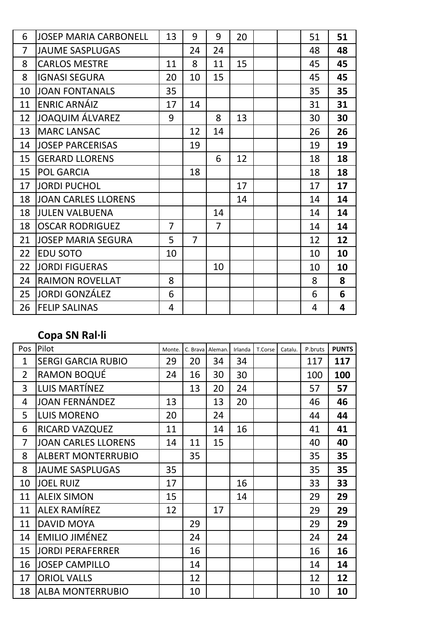| 6  | <b>JOSEP MARIA CARBONELL</b> | 13             | 9              | 9              | 20 |  | 51 | 51 |
|----|------------------------------|----------------|----------------|----------------|----|--|----|----|
| 7  | <b>JAUME SASPLUGAS</b>       |                | 24             | 24             |    |  | 48 | 48 |
| 8  | <b>CARLOS MESTRE</b>         | 11             | 8              | 11             | 15 |  | 45 | 45 |
| 8  | <b>IGNASI SEGURA</b>         | 20             | 10             | 15             |    |  | 45 | 45 |
| 10 | <b>JOAN FONTANALS</b>        | 35             |                |                |    |  | 35 | 35 |
| 11 | <b>ENRIC ARNÁIZ</b>          | 17             | 14             |                |    |  | 31 | 31 |
| 12 | <b>JOAQUIM ÁLVAREZ</b>       | 9              |                | 8              | 13 |  | 30 | 30 |
| 13 | <b>MARC LANSAC</b>           |                | 12             | 14             |    |  | 26 | 26 |
| 14 | <b>JOSEP PARCERISAS</b>      |                | 19             |                |    |  | 19 | 19 |
| 15 | <b>GERARD LLORENS</b>        |                |                | 6              | 12 |  | 18 | 18 |
| 15 | <b>POL GARCIA</b>            |                | 18             |                |    |  | 18 | 18 |
| 17 | <b>JORDI PUCHOL</b>          |                |                |                | 17 |  | 17 | 17 |
| 18 | <b>JOAN CARLES LLORENS</b>   |                |                |                | 14 |  | 14 | 14 |
| 18 | <b>JULEN VALBUENA</b>        |                |                | 14             |    |  | 14 | 14 |
| 18 | <b>OSCAR RODRIGUEZ</b>       | $\overline{7}$ |                | $\overline{7}$ |    |  | 14 | 14 |
| 21 | <b>JOSEP MARIA SEGURA</b>    | 5              | $\overline{7}$ |                |    |  | 12 | 12 |
| 22 | <b>EDU SOTO</b>              | 10             |                |                |    |  | 10 | 10 |
| 22 | <b>JORDI FIGUERAS</b>        |                |                | 10             |    |  | 10 | 10 |
| 24 | <b>RAIMON ROVELLAT</b>       | 8              |                |                |    |  | 8  | 8  |
| 25 | <b>JORDI GONZÁLEZ</b>        | 6              |                |                |    |  | 6  | 6  |
| 26 | <b>FELIP SALINAS</b>         | 4              |                |                |    |  | 4  | 4  |

#### **Copa SN Ral·li**

| Pos            | Pilot                      | Monte. | C. Brava Aleman. |    | Irlanda | T.Corse | Catalu. | P.bruts | <b>PUNTS</b> |
|----------------|----------------------------|--------|------------------|----|---------|---------|---------|---------|--------------|
| $\mathbf{1}$   | <b>SERGI GARCIA RUBIO</b>  | 29     | 20               | 34 | 34      |         |         | 117     | 117          |
| $\overline{2}$ | <b>RAMON BOQUÉ</b>         | 24     | 16               | 30 | 30      |         |         | 100     | 100          |
| $\overline{3}$ | LUIS MARTÍNEZ              |        | 13               | 20 | 24      |         |         | 57      | 57           |
| 4              | <b>JOAN FERNÁNDEZ</b>      | 13     |                  | 13 | 20      |         |         | 46      | 46           |
| 5              | <b>LUIS MORENO</b>         | 20     |                  | 24 |         |         |         | 44      | 44           |
| 6              | <b>RICARD VAZQUEZ</b>      | 11     |                  | 14 | 16      |         |         | 41      | 41           |
| $\overline{7}$ | <b>JOAN CARLES LLORENS</b> | 14     | 11               | 15 |         |         |         | 40      | 40           |
| 8              | <b>ALBERT MONTERRUBIO</b>  |        | 35               |    |         |         |         | 35      | 35           |
| 8              | <b>JAUME SASPLUGAS</b>     | 35     |                  |    |         |         |         | 35      | 35           |
| 10             | <b>JOEL RUIZ</b>           | 17     |                  |    | 16      |         |         | 33      | 33           |
| 11             | <b>ALEIX SIMON</b>         | 15     |                  |    | 14      |         |         | 29      | 29           |
| 11             | ALLEX RAMÍREZ              | 12     |                  | 17 |         |         |         | 29      | 29           |
| 11             | <b>DAVID MOYA</b>          |        | 29               |    |         |         |         | 29      | 29           |
| 14             | <b>EMILIO JIMÉNEZ</b>      |        | 24               |    |         |         |         | 24      | 24           |
| 15             | <b>JORDI PERAFERRER</b>    |        | 16               |    |         |         |         | 16      | 16           |
| 16             | <b>JOSEP CAMPILLO</b>      |        | 14               |    |         |         |         | 14      | 14           |
| 17             | <b>ORIOL VALLS</b>         |        | 12               |    |         |         |         | 12      | 12           |
| 18             | <b>ALBA MONTERRUBIO</b>    |        | 10               |    |         |         |         | 10      | 10           |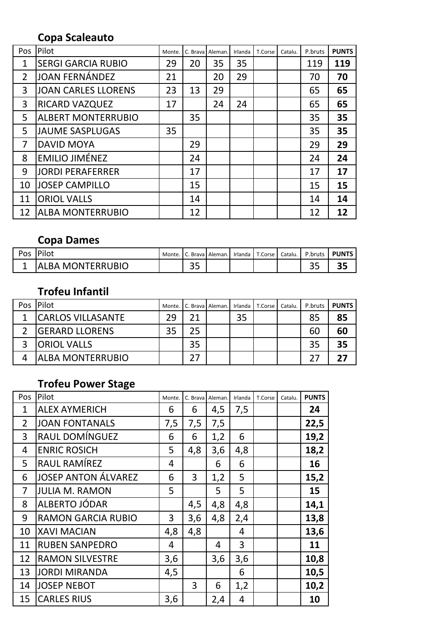#### **Copa Scaleauto**

| Pos            | Pilot                      | Monte. | C. Brava Aleman. |    | Irlanda | T.Corse | Catalu. | P.bruts | <b>PUNTS</b> |
|----------------|----------------------------|--------|------------------|----|---------|---------|---------|---------|--------------|
| $\mathbf{1}$   | <b>SERGI GARCIA RUBIO</b>  | 29     | 20               | 35 | 35      |         |         | 119     | 119          |
| $\overline{2}$ | JOAN FERNÁNDEZ             | 21     |                  | 20 | 29      |         |         | 70      | 70           |
| 3              | <b>JOAN CARLES LLORENS</b> | 23     | 13               | 29 |         |         |         | 65      | 65           |
| 3              | <b>RICARD VAZQUEZ</b>      | 17     |                  | 24 | 24      |         |         | 65      | 65           |
| 5              | <b>ALBERT MONTERRUBIO</b>  |        | 35               |    |         |         |         | 35      | 35           |
| 5              | <b>JAUME SASPLUGAS</b>     | 35     |                  |    |         |         |         | 35      | 35           |
| 7              | <b>DAVID MOYA</b>          |        | 29               |    |         |         |         | 29      | 29           |
| 8              | <b>EMILIO JIMÉNEZ</b>      |        | 24               |    |         |         |         | 24      | 24           |
| 9              | <b>JORDI PERAFERRER</b>    |        | 17               |    |         |         |         | 17      | 17           |
| 10             | <b>JOSEP CAMPILLO</b>      |        | 15               |    |         |         |         | 15      | 15           |
| 11             | <b>ORIOL VALLS</b>         |        | 14               |    |         |         |         | 14      | 14           |
| 12             | <b>ALBA MONTERRUBIO</b>    |        | 12               |    |         |         |         | 12      | 12           |

#### **Copa Dames**

| Pos |                          | Monte. |        | Brava Aleman. | Irlanda   T.Corse   Catalu. | P.bruts | <b>PUNTS</b> |
|-----|--------------------------|--------|--------|---------------|-----------------------------|---------|--------------|
|     | LBA MONTERRUBIO<br>. Δ Ι |        | $\sim$ |               |                             | ر ر     |              |

### **Trofeu Infantil**

| Pos | Pilot                    |    | Monte. C. Brava Aleman. |    | Irlanda T.Corse | Catalu. | P.bruts | <b>PUNTS</b> |
|-----|--------------------------|----|-------------------------|----|-----------------|---------|---------|--------------|
|     | <b>CARLOS VILLASANTE</b> | 29 |                         | 35 |                 |         | 85      | 85           |
|     | <b>IGERARD LLORENS</b>   | 35 | 25 <sub>1</sub>         |    |                 |         | 60      | 60           |
|     | <b>ORIOL VALLS</b>       |    | 35                      |    |                 |         | 35      | 35           |
|     | <b>JALBA MONTERRUBIO</b> |    |                         |    |                 |         |         |              |

# **Trofeu Power Stage**

| Pos            | Pilot                      | Monte. | C. Brava | Aleman. | Irlanda | T.Corse | Catalu. | <b>PUNTS</b> |
|----------------|----------------------------|--------|----------|---------|---------|---------|---------|--------------|
| 1              | <b>ALEX AYMERICH</b>       | 6      | 6        | 4,5     | 7,5     |         |         | 24           |
| $\overline{2}$ | <b>JOAN FONTANALS</b>      | 7,5    | 7,5      | 7,5     |         |         |         | 22,5         |
| 3              | RAUL DOMÍNGUEZ             | 6      | 6        | 1,2     | 6       |         |         | 19,2         |
| 4              | <b>ENRIC ROSICH</b>        | 5      | 4,8      | 3,6     | 4,8     |         |         | 18,2         |
| 5              | RAUL RAMÍREZ               | 4      |          | 6       | 6       |         |         | 16           |
| 6              | <b>JOSEP ANTON ÁLVAREZ</b> | 6      | 3        | 1,2     | 5       |         |         | 15,2         |
| 7              | <b>JULIA M. RAMON</b>      | 5      |          | 5       | 5       |         |         | 15           |
| 8              | ALBERTO JÓDAR              |        | 4,5      | 4,8     | 4,8     |         |         | 14,1         |
| 9              | <b>RAMON GARCIA RUBIO</b>  | 3      | 3,6      | 4,8     | 2,4     |         |         | 13,8         |
| 10             | <b>XAVI MACIAN</b>         | 4,8    | 4,8      |         | 4       |         |         | 13,6         |
| 11             | <b>RUBEN SANPEDRO</b>      | 4      |          | 4       | 3       |         |         | 11           |
| 12             | <b>RAMON SILVESTRE</b>     | 3,6    |          | 3,6     | 3,6     |         |         | 10,8         |
| 13             | <b>JORDI MIRANDA</b>       | 4,5    |          |         | 6       |         |         | 10,5         |
| 14             | <b>JOSEP NEBOT</b>         |        | 3        | 6       | 1,2     |         |         | 10,2         |
| 15             | <b>CARLES RIUS</b>         | 3,6    |          | 2,4     | 4       |         |         | 10           |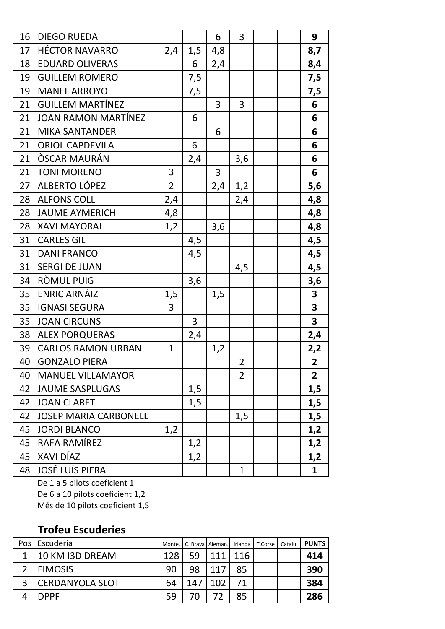| 16 | <b>DIEGO RUEDA</b>           |                |     | 6   | 3              |  | 9                       |
|----|------------------------------|----------------|-----|-----|----------------|--|-------------------------|
| 17 | <b>HÉCTOR NAVARRO</b>        | 2,4            | 1,5 | 4,8 |                |  | 8,7                     |
| 18 | <b>EDUARD OLIVERAS</b>       |                | 6   | 2,4 |                |  | 8,4                     |
| 19 | <b>GUILLEM ROMERO</b>        |                | 7,5 |     |                |  | 7,5                     |
| 19 | <b>MANEL ARROYO</b>          |                | 7,5 |     |                |  | 7,5                     |
| 21 | <b>GUILLEM MARTÍNEZ</b>      |                |     | 3   | 3              |  | 6                       |
| 21 | JOAN RAMON MARTÍNEZ          |                | 6   |     |                |  | 6                       |
| 21 | <b>MIKA SANTANDER</b>        |                |     | 6   |                |  | 6                       |
| 21 | <b>ORIOL CAPDEVILA</b>       |                | 6   |     |                |  | 6                       |
| 21 | <b>ÒSCAR MAURÁN</b>          |                | 2,4 |     | 3,6            |  | 6                       |
| 21 | <b>TONI MORENO</b>           | 3              |     | 3   |                |  | 6                       |
| 27 | ALBERTO LÓPEZ                | $\overline{2}$ |     | 2,4 | 1,2            |  | $5,6$                   |
| 28 | <b>ALFONS COLL</b>           | 2,4            |     |     | 2,4            |  | 4,8                     |
| 28 | <b>JAUME AYMERICH</b>        | 4,8            |     |     |                |  | 4,8                     |
| 28 | <b>XAVI MAYORAL</b>          | 1,2            |     | 3,6 |                |  | 4,8                     |
| 31 | <b>CARLES GIL</b>            |                | 4,5 |     |                |  | 4,5                     |
| 31 | <b>DANI FRANCO</b>           |                | 4,5 |     |                |  | 4,5                     |
| 31 | <b>SERGI DE JUAN</b>         |                |     |     | 4,5            |  | 4,5                     |
| 34 | RÒMUL PUIG                   |                | 3,6 |     |                |  | 3,6                     |
| 35 | <b>ENRIC ARNÁIZ</b>          | 1,5            |     | 1,5 |                |  | $\overline{\mathbf{3}}$ |
| 35 | <b>IGNASI SEGURA</b>         | 3              |     |     |                |  | $\overline{\mathbf{3}}$ |
| 35 | <b>JOAN CIRCUNS</b>          |                | 3   |     |                |  | $\overline{\mathbf{3}}$ |
| 38 | <b>ALEX PORQUERAS</b>        |                | 2,4 |     |                |  | 2,4                     |
| 39 | <b>CARLOS RAMON URBAN</b>    | $\mathbf{1}$   |     | 1,2 |                |  | <u>2,2</u>              |
| 40 | <b>GONZALO PIERA</b>         |                |     |     | $\overline{2}$ |  | $\overline{2}$          |
| 40 | <b>MANUEL VILLAMAYOR</b>     |                |     |     | $\overline{2}$ |  | $2^{\circ}$             |
| 42 | <b>JAUME SASPLUGAS</b>       |                | 1,5 |     |                |  | 1,5                     |
| 42 | <b>JOAN CLARET</b>           |                | 1,5 |     |                |  | 1,5                     |
| 42 | <b>JOSEP MARIA CARBONELL</b> |                |     |     | 1,5            |  | 1,5                     |
| 45 | <b>JORDI BLANCO</b>          | 1,2            |     |     |                |  | 1,2                     |
| 45 | RAFA RAMÍREZ                 |                | 1,2 |     |                |  | 1,2                     |
| 45 | XAVI DÍAZ                    |                | 1,2 |     |                |  | 1,2                     |
| 48 | <b>JOSÉ LUÍS PIERA</b>       |                |     |     | 1              |  | $\mathbf{1}$            |

De 1 a 5 pilots coeficient 1 De 6 a 10 pilots coeficient 1,2 Més de 10 pilots coeficient 1,5

### **Trofeu Escuderies**

| <b>Pos</b> | <b>IEscuderia</b>       | Monte. |     | C. Brava Aleman. | Irlanda l | T.Corse | Catalu. | <b>PUNTS</b> |
|------------|-------------------------|--------|-----|------------------|-----------|---------|---------|--------------|
|            | 10 KM I3D DREAM         | 128    | 59  | $111 -$          | 116       |         |         | 414          |
|            | <b>IFIMOSIS</b>         | 90     | 98  | 117              | 85        |         |         | 390          |
| 3          | <b>ICERDANYOLA SLOT</b> | 64     | 147 | 102              |           |         |         | 384          |
|            | <b>DPPF</b>             | 59     |     |                  | 85        |         |         | 286          |